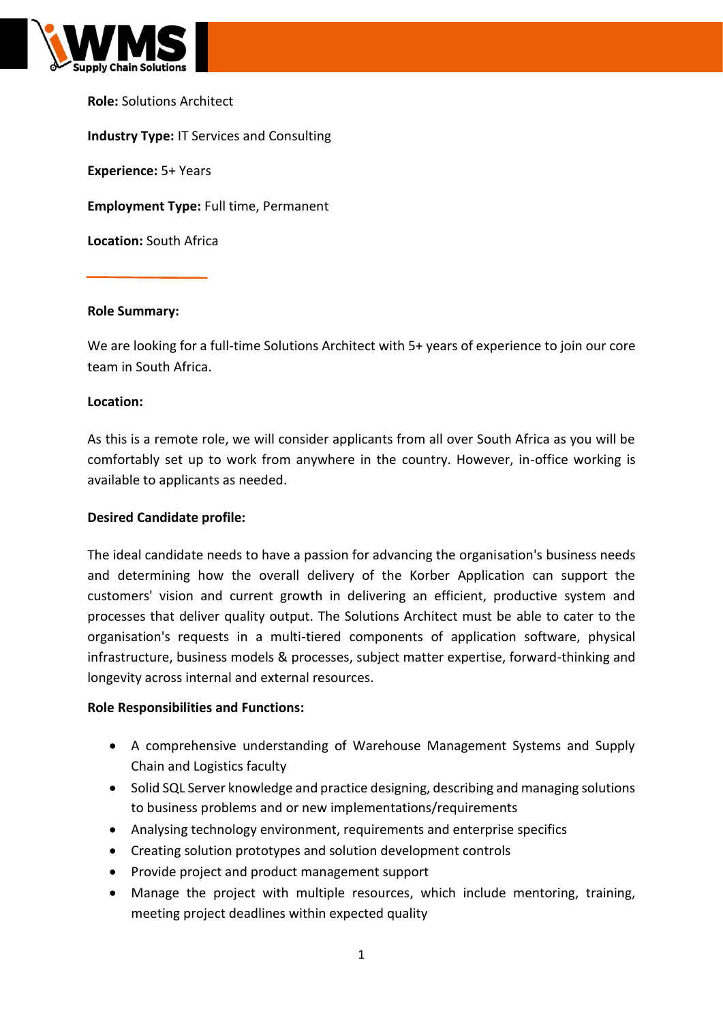

**Role:** Solutions Architect **Industry Type:** IT Services and Consulting **Experience:** 5+ Years **Employment Type:** Full time, Permanent **Location:** South Africa

## **Role Summary:**

We are looking for a full-time Solutions Architect with 5+ years of experience to join our core team in South Africa.

### **Location:**

As this is a remote role, we will consider applicants from all over South Africa as you will be comfortably set up to work from anywhere in the country. However, in-office working is available to applicants as needed.

### **Desired Candidate profile:**

The ideal candidate needs to have a passion for advancing the organisation's business needs and determining how the overall delivery of the Korber Application can support the customers' vision and current growth in delivering an efficient, productive system and processes that deliver quality output. The Solutions Architect must be able to cater to the organisation's requests in a multi-tiered components of application software, physical infrastructure, business models & processes, subject matter expertise, forward-thinking and longevity across internal and external resources.

### **Role Responsibilities and Functions:**

- A comprehensive understanding of Warehouse Management Systems and Supply Chain and Logistics faculty
- Solid SQL Server knowledge and practice designing, describing and managing solutions to business problems and or new implementations/requirements
- Analysing technology environment, requirements and enterprise specifics
- Creating solution prototypes and solution development controls
- Provide project and product management support
- Manage the project with multiple resources, which include mentoring, training, meeting project deadlines within expected quality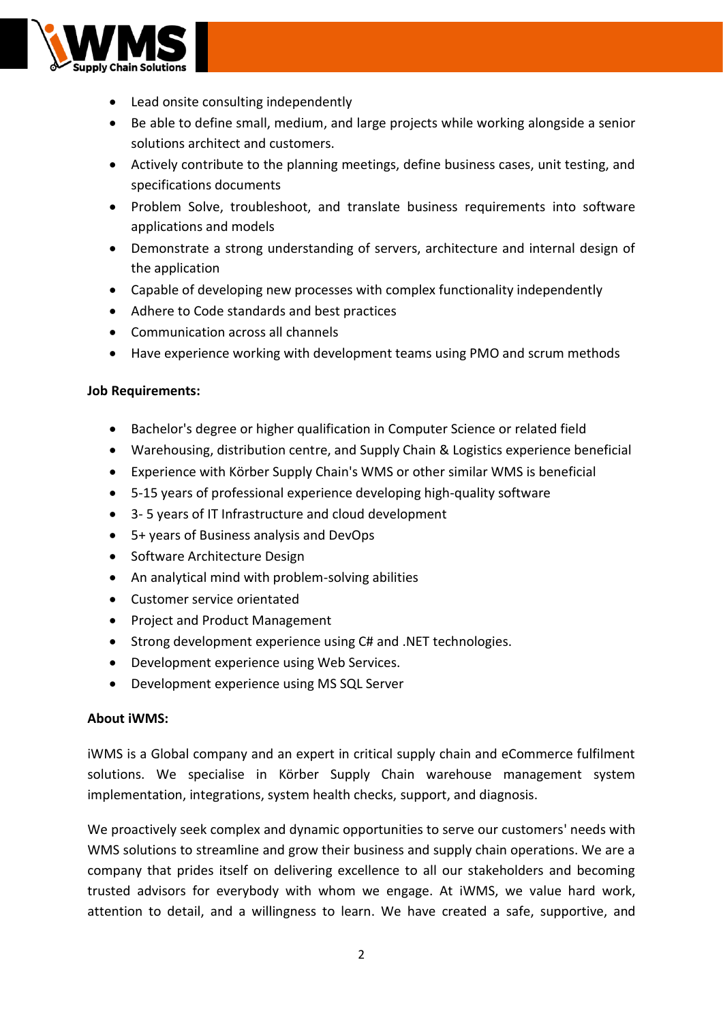

- Lead onsite consulting independently
- Be able to define small, medium, and large projects while working alongside a senior solutions architect and customers.
- Actively contribute to the planning meetings, define business cases, unit testing, and specifications documents
- Problem Solve, troubleshoot, and translate business requirements into software applications and models
- Demonstrate a strong understanding of servers, architecture and internal design of the application
- Capable of developing new processes with complex functionality independently
- Adhere to Code standards and best practices
- Communication across all channels
- Have experience working with development teams using PMO and scrum methods

### **Job Requirements:**

- Bachelor's degree or higher qualification in Computer Science or related field
- Warehousing, distribution centre, and Supply Chain & Logistics experience beneficial
- Experience with Körber Supply Chain's WMS or other similar WMS is beneficial
- 5-15 years of professional experience developing high-quality software
- 3- 5 years of IT Infrastructure and cloud development
- 5+ years of Business analysis and DevOps
- Software Architecture Design
- An analytical mind with problem-solving abilities
- Customer service orientated
- Project and Product Management
- Strong development experience using C# and .NET technologies.
- Development experience using Web Services.
- Development experience using MS SQL Server

### **About iWMS:**

iWMS is a Global company and an expert in critical supply chain and eCommerce fulfilment solutions. We specialise in Körber Supply Chain warehouse management system implementation, integrations, system health checks, support, and diagnosis.

We proactively seek complex and dynamic opportunities to serve our customers' needs with WMS solutions to streamline and grow their business and supply chain operations. We are a company that prides itself on delivering excellence to all our stakeholders and becoming trusted advisors for everybody with whom we engage. At iWMS, we value hard work, attention to detail, and a willingness to learn. We have created a safe, supportive, and